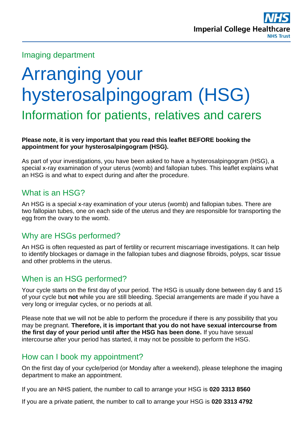

#### Imaging department

# Arranging your hysterosalpingogram (HSG) Information for patients, relatives and carers

#### **Please note, it is very important that you read this leaflet BEFORE booking the appointment for your hysterosalpingogram (HSG).**

As part of your investigations, you have been asked to have a hysterosalpingogram (HSG), a special x-ray examination of your uterus (womb) and fallopian tubes. This leaflet explains what an HSG is and what to expect during and after the procedure.

## What is an HSG?

An HSG is a special x-ray examination of your uterus (womb) and fallopian tubes. There are two fallopian tubes, one on each side of the uterus and they are responsible for transporting the egg from the ovary to the womb.

## Why are HSGs performed?

An HSG is often requested as part of fertility or recurrent miscarriage investigations. It can help to identify blockages or damage in the fallopian tubes and diagnose fibroids, polyps, scar tissue and other problems in the uterus.

# When is an HSG performed?

Your cycle starts on the first day of your period. The HSG is usually done between day 6 and 15 of your cycle but **not** while you are still bleeding. Special arrangements are made if you have a very long or irregular cycles, or no periods at all.

Please note that we will not be able to perform the procedure if there is any possibility that you may be pregnant. **Therefore, it is important that you do not have sexual intercourse from the first day of your period until after the HSG has been done.** If you have sexual intercourse after your period has started, it may not be possible to perform the HSG.

## How can I book my appointment?

On the first day of your cycle/period (or Monday after a weekend), please telephone the imaging department to make an appointment.

If you are an NHS patient, the number to call to arrange your HSG is **020 3313 8560** 

If you are a private patient, the number to call to arrange your HSG is **020 3313 4792**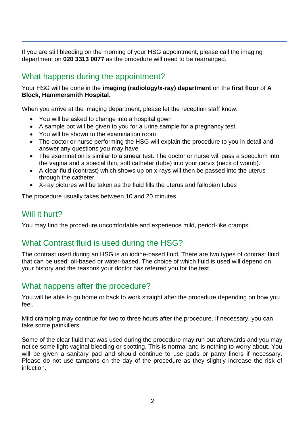If you are still bleeding on the morning of your HSG appointment, please call the imaging department on **020 3313 0077** as the procedure will need to be rearranged.

# What happens during the appointment?

#### Your HSG will be done in the **imaging (radiology/x-ray) department** on the **first floor** of **A Block, Hammersmith Hospital.**

When you arrive at the imaging department, please let the reception staff know.

- You will be asked to change into a hospital gown
- A sample pot will be given to you for a urine sample for a pregnancy test
- You will be shown to the examination room
- The doctor or nurse performing the HSG will explain the procedure to you in detail and answer any questions you may have
- The examination is similar to a smear test. The doctor or nurse will pass a speculum into the vagina and a special thin, soft catheter (tube) into your cervix (neck of womb).
- A clear fluid (contrast) which shows up on x-rays will then be passed into the uterus through the catheter
- X-ray pictures will be taken as the fluid fills the uterus and fallopian tubes

The procedure usually takes between 10 and 20 minutes.

#### Will it hurt?

You may find the procedure uncomfortable and experience mild, period-like cramps.

# What Contrast fluid is used during the HSG?

The contrast used during an HSG is an iodine-based fluid. There are two types of contrast fluid that can be used: oil-based or water-based. The choice of which fluid is used will depend on your history and the reasons your doctor has referred you for the test.

# What happens after the procedure?

You will be able to go home or back to work straight after the procedure depending on how you feel.

Mild cramping may continue for two to three hours after the procedure. If necessary, you can take some painkillers.

Some of the clear fluid that was used during the procedure may run out afterwards and you may notice some light vaginal bleeding or spotting. This is normal and is nothing to worry about. You will be given a sanitary pad and should continue to use pads or panty liners if necessary. Please do not use tampons on the day of the procedure as they slightly increase the risk of infection.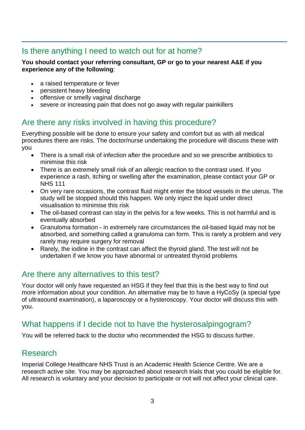# Is there anything I need to watch out for at home?

#### **You should contact your referring consultant, GP or go to your nearest A&E if you experience any of the following**:

- a raised temperature or fever
- persistent heavy bleeding
- offensive or smelly vaginal discharge
- severe or increasing pain that does not go away with regular painkillers

# Are there any risks involved in having this procedure?

Everything possible will be done to ensure your safety and comfort but as with all medical procedures there are risks. The doctor/nurse undertaking the procedure will discuss these with you

- There is a small risk of infection after the procedure and so we prescribe antibiotics to minimise this risk
- There is an extremely small risk of an allergic reaction to the contrast used. If you experience a rash, itching or swelling after the examination, please contact your GP or NHS 111
- On very rare occasions, the contrast fluid might enter the blood vessels in the uterus. The study will be stopped should this happen. We only inject the liquid under direct visualisation to minimise this risk
- The oil-based contrast can stay in the pelvis for a few weeks. This is not harmful and is eventually absorbed
- Granuloma formation in extremely rare circumstances the oil-based liquid may not be absorbed, and something called a granuloma can form. This is rarely a problem and very rarely may require surgery for removal
- Rarely, the iodine in the contrast can affect the thyroid gland. The test will not be undertaken if we know you have abnormal or untreated thyroid problems

## Are there any alternatives to this test?

Your doctor will only have requested an HSG if they feel that this is the best way to find out more information about your condition. An alternative may be to have a HyCoSy (a special type of ultrasound examination), a laparoscopy or a hysteroscopy. Your doctor will discuss this with you.

# What happens if I decide not to have the hysterosalpingogram?

You will be referred back to the doctor who recommended the HSG to discuss further.

#### Research

Imperial College Healthcare NHS Trust is an Academic Health Science Centre. We are a research active site. You may be approached about research trials that you could be eligible for. All research is voluntary and your decision to participate or not will not affect your clinical care.